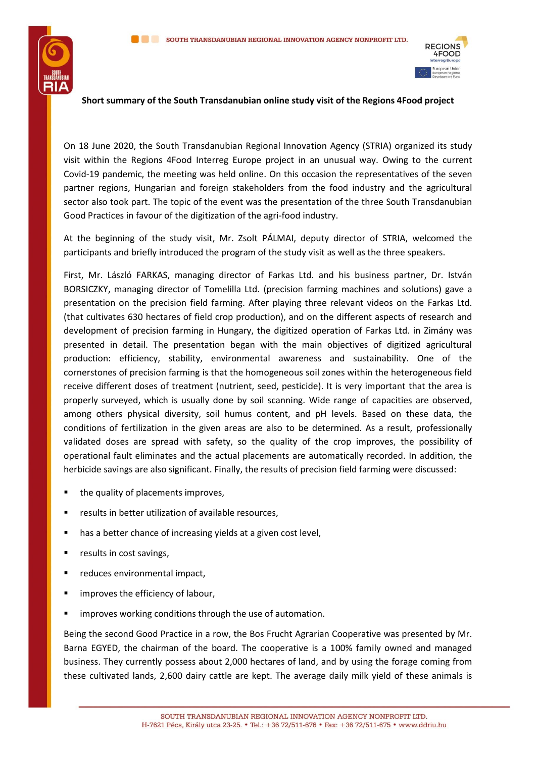



## **Short summary of the South Transdanubian online study visit of the Regions 4Food project**

On 18 June 2020, the South Transdanubian Regional Innovation Agency (STRIA) organized its study visit within the Regions 4Food Interreg Europe project in an unusual way. Owing to the current Covid-19 pandemic, the meeting was held online. On this occasion the representatives of the seven partner regions, Hungarian and foreign stakeholders from the food industry and the agricultural sector also took part. The topic of the event was the presentation of the three South Transdanubian Good Practices in favour of the digitization of the agri-food industry.

At the beginning of the study visit, Mr. Zsolt PÁLMAI, deputy director of STRIA, welcomed the participants and briefly introduced the program of the study visit as well as the three speakers.

First, Mr. László FARKAS, managing director of Farkas Ltd. and his business partner, Dr. István BORSICZKY, managing director of Tomelilla Ltd. (precision farming machines and solutions) gave a presentation on the precision field farming. After playing three relevant videos on the Farkas Ltd. (that cultivates 630 hectares of field crop production), and on the different aspects of research and development of precision farming in Hungary, the digitized operation of Farkas Ltd. in Zimány was presented in detail. The presentation began with the main objectives of digitized agricultural production: efficiency, stability, environmental awareness and sustainability. One of the cornerstones of precision farming is that the homogeneous soil zones within the heterogeneous field receive different doses of treatment (nutrient, seed, pesticide). It is very important that the area is properly surveyed, which is usually done by soil scanning. Wide range of capacities are observed, among others physical diversity, soil humus content, and pH levels. Based on these data, the conditions of fertilization in the given areas are also to be determined. As a result, professionally validated doses are spread with safety, so the quality of the crop improves, the possibility of operational fault eliminates and the actual placements are automatically recorded. In addition, the herbicide savings are also significant. Finally, the results of precision field farming were discussed:

- the quality of placements improves,
- results in better utilization of available resources.
- has a better chance of increasing yields at a given cost level,
- results in cost savings,
- reduces environmental impact,
- improves the efficiency of labour,
- improves working conditions through the use of automation.

Being the second Good Practice in a row, the Bos Frucht Agrarian Cooperative was presented by Mr. Barna EGYED, the chairman of the board. The cooperative is a 100% family owned and managed business. They currently possess about 2,000 hectares of land, and by using the forage coming from these cultivated lands, 2,600 dairy cattle are kept. The average daily milk yield of these animals is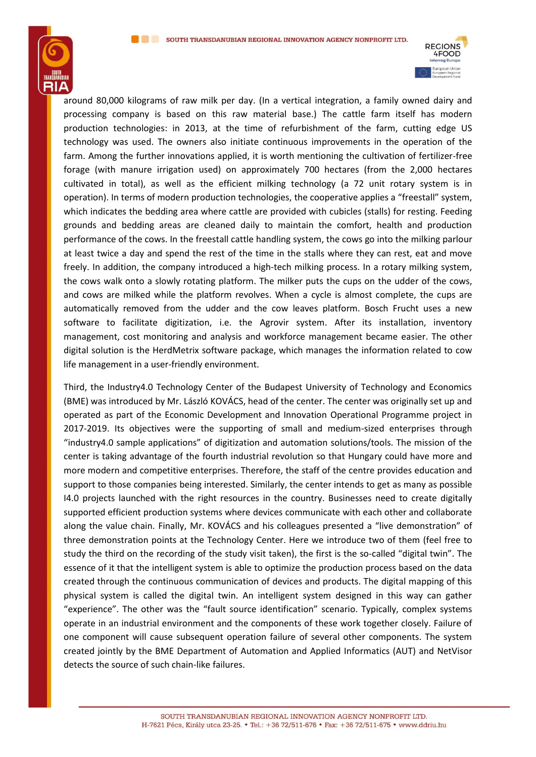



around 80,000 kilograms of raw milk per day. (In a vertical integration, a family owned dairy and processing company is based on this raw material base.) The cattle farm itself has modern production technologies: in 2013, at the time of refurbishment of the farm, cutting edge US technology was used. The owners also initiate continuous improvements in the operation of the farm. Among the further innovations applied, it is worth mentioning the cultivation of fertilizer-free forage (with manure irrigation used) on approximately 700 hectares (from the 2,000 hectares cultivated in total), as well as the efficient milking technology (a 72 unit rotary system is in operation). In terms of modern production technologies, the cooperative applies a "freestall" system, which indicates the bedding area where cattle are provided with cubicles (stalls) for resting. Feeding grounds and bedding areas are cleaned daily to maintain the comfort, health and production performance of the cows. In the freestall cattle handling system, the cows go into the milking parlour at least twice a day and spend the rest of the time in the stalls where they can rest, eat and move freely. In addition, the company introduced a high-tech milking process. In a rotary milking system, the cows walk onto a slowly rotating platform. The milker puts the cups on the udder of the cows, and cows are milked while the platform revolves. When a cycle is almost complete, the cups are automatically removed from the udder and the cow leaves platform. Bosch Frucht uses a new software to facilitate digitization, i.e. the Agrovir system. After its installation, inventory management, cost monitoring and analysis and workforce management became easier. The other digital solution is the HerdMetrix software package, which manages the information related to cow life management in a user-friendly environment.

Third, the Industry4.0 Technology Center of the Budapest University of Technology and Economics (BME) was introduced by Mr. László KOVÁCS, head of the center. The center was originally set up and operated as part of the Economic Development and Innovation Operational Programme project in 2017-2019. Its objectives were the supporting of small and medium-sized enterprises through "industry4.0 sample applications" of digitization and automation solutions/tools. The mission of the center is taking advantage of the fourth industrial revolution so that Hungary could have more and more modern and competitive enterprises. Therefore, the staff of the centre provides education and support to those companies being interested. Similarly, the center intends to get as many as possible I4.0 projects launched with the right resources in the country. Businesses need to create digitally supported efficient production systems where devices communicate with each other and collaborate along the value chain. Finally, Mr. KOVÁCS and his colleagues presented a "live demonstration" of three demonstration points at the Technology Center. Here we introduce two of them (feel free to study the third on the recording of the study visit taken), the first is the so-called "digital twin". The essence of it that the intelligent system is able to optimize the production process based on the data created through the continuous communication of devices and products. The digital mapping of this physical system is called the digital twin. An intelligent system designed in this way can gather "experience". The other was the "fault source identification" scenario. Typically, complex systems operate in an industrial environment and the components of these work together closely. Failure of one component will cause subsequent operation failure of several other components. The system created jointly by the BME Department of Automation and Applied Informatics (AUT) and NetVisor detects the source of such chain-like failures.